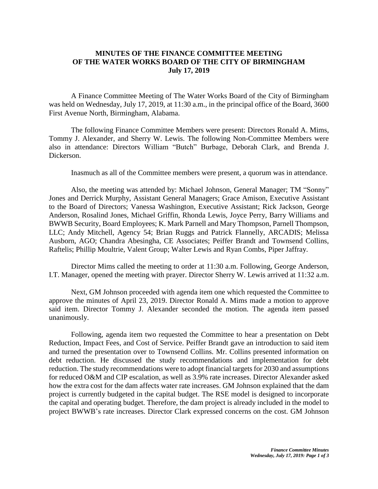## **MINUTES OF THE FINANCE COMMITTEE MEETING OF THE WATER WORKS BOARD OF THE CITY OF BIRMINGHAM July 17, 2019**

A Finance Committee Meeting of The Water Works Board of the City of Birmingham was held on Wednesday, July 17, 2019, at 11:30 a.m., in the principal office of the Board, 3600 First Avenue North, Birmingham, Alabama.

The following Finance Committee Members were present: Directors Ronald A. Mims, Tommy J. Alexander, and Sherry W. Lewis. The following Non-Committee Members were also in attendance: Directors William "Butch" Burbage, Deborah Clark, and Brenda J. Dickerson.

Inasmuch as all of the Committee members were present, a quorum was in attendance.

Also, the meeting was attended by: Michael Johnson, General Manager; TM "Sonny" Jones and Derrick Murphy, Assistant General Managers; Grace Amison, Executive Assistant to the Board of Directors; Vanessa Washington, Executive Assistant; Rick Jackson, George Anderson, Rosalind Jones, Michael Griffin, Rhonda Lewis, Joyce Perry, Barry Williams and BWWB Security, Board Employees; K. Mark Parnell and Mary Thompson, Parnell Thompson, LLC; Andy Mitchell, Agency 54; Brian Ruggs and Patrick Flannelly, ARCADIS; Melissa Ausborn, AGO; Chandra Abesingha, CE Associates; Peiffer Brandt and Townsend Collins, Raftelis; Phillip Moultrie, Valent Group; Walter Lewis and Ryan Combs, Piper Jaffray.

Director Mims called the meeting to order at 11:30 a.m. Following, George Anderson, I.T. Manager, opened the meeting with prayer. Director Sherry W. Lewis arrived at 11:32 a.m.

Next, GM Johnson proceeded with agenda item one which requested the Committee to approve the minutes of April 23, 2019. Director Ronald A. Mims made a motion to approve said item. Director Tommy J. Alexander seconded the motion. The agenda item passed unanimously.

Following, agenda item two requested the Committee to hear a presentation on Debt Reduction, Impact Fees, and Cost of Service. Peiffer Brandt gave an introduction to said item and turned the presentation over to Townsend Collins. Mr. Collins presented information on debt reduction. He discussed the study recommendations and implementation for debt reduction. The study recommendations were to adopt financial targets for 2030 and assumptions for reduced O&M and CIP escalation, as well as 3.9% rate increases. Director Alexander asked how the extra cost for the dam affects water rate increases. GM Johnson explained that the dam project is currently budgeted in the capital budget. The RSE model is designed to incorporate the capital and operating budget. Therefore, the dam project is already included in the model to project BWWB's rate increases. Director Clark expressed concerns on the cost. GM Johnson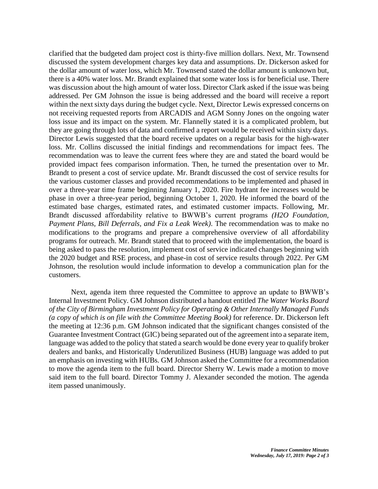clarified that the budgeted dam project cost is thirty-five million dollars. Next, Mr. Townsend discussed the system development charges key data and assumptions. Dr. Dickerson asked for the dollar amount of water loss, which Mr. Townsend stated the dollar amount is unknown but, there is a 40% water loss. Mr. Brandt explained that some water loss is for beneficial use. There was discussion about the high amount of water loss. Director Clark asked if the issue was being addressed. Per GM Johnson the issue is being addressed and the board will receive a report within the next sixty days during the budget cycle. Next, Director Lewis expressed concerns on not receiving requested reports from ARCADIS and AGM Sonny Jones on the ongoing water loss issue and its impact on the system. Mr. Flannelly stated it is a complicated problem, but they are going through lots of data and confirmed a report would be received within sixty days. Director Lewis suggested that the board receive updates on a regular basis for the high-water loss. Mr. Collins discussed the initial findings and recommendations for impact fees. The recommendation was to leave the current fees where they are and stated the board would be provided impact fees comparison information. Then, he turned the presentation over to Mr. Brandt to present a cost of service update. Mr. Brandt discussed the cost of service results for the various customer classes and provided recommendations to be implemented and phased in over a three-year time frame beginning January 1, 2020. Fire hydrant fee increases would be phase in over a three-year period, beginning October 1, 2020. He informed the board of the estimated base charges, estimated rates, and estimated customer impacts. Following, Mr. Brandt discussed affordability relative to BWWB's current programs *(H2O Foundation, Payment Plans, Bill Deferrals, and Fix a Leak Week)*. The recommendation was to make no modifications to the programs and prepare a comprehensive overview of all affordability programs for outreach. Mr. Brandt stated that to proceed with the implementation, the board is being asked to pass the resolution, implement cost of service indicated changes beginning with the 2020 budget and RSE process, and phase-in cost of service results through 2022. Per GM Johnson, the resolution would include information to develop a communication plan for the customers.

Next, agenda item three requested the Committee to approve an update to BWWB's Internal Investment Policy. GM Johnson distributed a handout entitled *The Water Works Board of the City of Birmingham Investment Policy for Operating & Other Internally Managed Funds (a copy of which is on file with the Committee Meeting Book)* for reference. Dr. Dickerson left the meeting at 12:36 p.m. GM Johnson indicated that the significant changes consisted of the Guarantee Investment Contract (GIC) being separated out of the agreement into a separate item, language was added to the policy that stated a search would be done every year to qualify broker dealers and banks, and Historically Underutilized Business (HUB) language was added to put an emphasis on investing with HUBs. GM Johnson asked the Committee for a recommendation to move the agenda item to the full board. Director Sherry W. Lewis made a motion to move said item to the full board. Director Tommy J. Alexander seconded the motion. The agenda item passed unanimously.